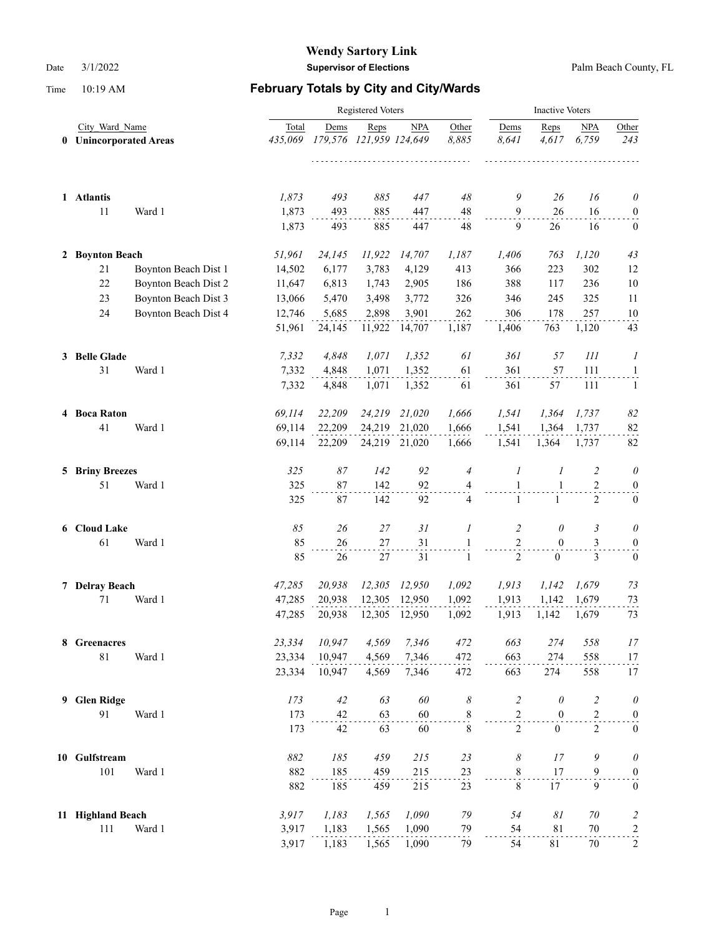|                                          |                      | <b>Inactive Voters</b> |            |                                 |               |                |                            |                  |                     |                   |
|------------------------------------------|----------------------|------------------------|------------|---------------------------------|---------------|----------------|----------------------------|------------------|---------------------|-------------------|
| City Ward Name<br>0 Unincorporated Areas |                      | Total<br>435,069       | Dems       | Reps<br>179,576 121,959 124,649 | <b>NPA</b>    | Other<br>8,885 | Dems<br>8,641              | Reps<br>4,617    | <b>NPA</b><br>6,759 | Other<br>243      |
| 1 Atlantis<br>11                         | Ward 1               | 1,873<br>1,873         | 493<br>493 | 885<br>885                      | 447<br>447    | 48<br>48       | 9<br>$\boldsymbol{9}$      | 26<br>26         | 16<br>16            | $\theta$<br>0     |
|                                          |                      | 1,873                  | 493        | 885                             | 447           | 48             | 9                          | 26               | 16                  | $\bf{0}$          |
| 2 Boynton Beach                          |                      | 51,961                 | 24,145     | 11,922                          | 14,707        | 1,187          | 1,406                      | 763              | 1,120               | 43                |
| 21                                       | Boynton Beach Dist 1 | 14,502                 | 6,177      | 3,783                           | 4,129         | 413            | 366                        | 223              | 302                 | 12                |
| 22                                       | Boynton Beach Dist 2 | 11,647                 | 6,813      | 1,743                           | 2,905         | 186            | 388                        | 117              | 236                 | $10\,$            |
| 23                                       | Boynton Beach Dist 3 | 13,066                 | 5,470      | 3,498                           | 3,772         | 326            | 346                        | 245              | 325                 | 11                |
| 24                                       | Boynton Beach Dist 4 | 12,746                 | 5,685      | 2,898                           | 3,901         | 262            | 306                        | 178              | 257                 | 10                |
|                                          |                      | 51,961                 | 24,145     | 11,922                          | 14,707        | 1,187          | 1,406                      | 763              | 1,120               | 43                |
| 3 Belle Glade                            |                      | 7,332                  | 4,848      | 1,071                           | 1,352         | 61             | 361                        | 57               | 111                 | 1                 |
| 31                                       | Ward 1               | 7,332                  | 4,848      | 1,071                           | 1,352         | 61             | 361                        | 57               | 111                 | $\mathbf{1}$      |
|                                          |                      | 7,332                  | 4,848      | 1,071                           | 1,352         | 61             | 361                        | 57               | 111                 | -1                |
| 4 Boca Raton                             |                      | 69,114                 | 22,209     | 24,219                          | 21,020        | 1,666          | 1,541                      | 1,364            | 1,737               | 82                |
| 41                                       | Ward 1               | 69,114                 | 22,209     | 24,219                          | 21,020        | 1,666          | 1.541                      | 1.364            | 1,737               | 82                |
|                                          |                      | 69,114                 | 22,209     |                                 | 24,219 21,020 | 1,666          | 1,541                      | 1,364            | 1,737               | 82                |
| <b>5 Briny Breezes</b>                   |                      | 325                    | 87         | 142                             | 92            | $\overline{4}$ | $\boldsymbol{l}$           | 1                | 2                   | 0                 |
| 51                                       | Ward 1               | 325                    | 87         | 142                             | 92            | 4              | $\mathbf{1}$               | $\mathbf{1}$     | $\overline{2}$      | $\boldsymbol{0}$  |
|                                          |                      | 325                    | 87         | 142                             | 92            | $\overline{4}$ | $\mathbf{1}$               | $\mathbf{1}$     | $\overline{2}$      | $\boldsymbol{0}$  |
| 6 Cloud Lake                             |                      | 85                     | 26         | 27                              | 31            | 1              | $\overline{c}$             | $\theta$         | 3                   | $\theta$          |
| 61                                       | Ward 1               | 85                     | 26         | 27                              | 31            | 1              | $\sqrt{2}$                 | $\mathbf{0}$     | 3                   | $\boldsymbol{0}$  |
|                                          |                      | 85                     | 26         | 27                              | 31            | 1              | 2                          | $\mathbf{0}$     | $\mathfrak{Z}$      | $\mathbf{0}$      |
| 7 Delray Beach                           |                      | 47,285                 | 20,938     | 12,305                          | 12,950        | 1,092          | 1,913                      | 1,142            | 1,679               | 73                |
| 71                                       | Ward 1               | 47,285                 | 20,938     | 12,305                          | 12,950        | 1,092          | 1,913                      | 1,142            | 1,679               | 73                |
|                                          |                      | 47,285                 | 20,938     | 12,305                          | 12,950        | 1,092          | 1,913                      | 1,142            | 1,679               | 73                |
| 8 Greenacres                             |                      | 23,334                 | 10,947     | 4,569                           | 7,346         | 472            | 663                        | 274              | 558                 | 17                |
| $81\,$                                   | Ward 1               | 23,334                 | 10,947     | 4,569                           | 7,346         | 472            | 663                        | 274              | 558                 | 17                |
|                                          |                      | 23,334                 | 10,947     | 4,569                           | 7,346         | 472            | 663                        | 274              | 558                 | 17                |
| 9 Glen Ridge                             |                      | 173                    | 42         | 63                              | 60            | 8              | $\overline{c}$             | $\theta$         | $\overline{c}$      | 0                 |
| 91                                       | Ward 1               | 173                    | 42         | 63                              | 60            | $\,$ 8 $\,$    | $\mathbf{2}$               | $\boldsymbol{0}$ | $\overline{c}$      | $\boldsymbol{0}$  |
|                                          |                      | 173                    | 42         | 63                              | 60            | 8              | $\overline{2}$             | $\overline{0}$   | $\overline{2}$      | $\boldsymbol{0}$  |
| 10 Gulfstream                            |                      | 882                    | 185        | 459                             | 215           | 23             | $\boldsymbol{\mathcal{S}}$ | 17               | 9                   | $\theta$          |
| 101                                      | Ward 1               | 882                    | 185        | 459                             | 215           | 23             | $\,$ 8 $\,$                | 17               | $\overline{9}$      | $\boldsymbol{0}$  |
|                                          |                      | 882                    | 185        | 459                             | 215           | 23             | $\,8\,$                    | 17               | 9                   | $\boldsymbol{0}$  |
| 11 Highland Beach                        |                      | 3,917                  | 1,183      | 1,565                           | 1,090         | 79             | 54                         | $\delta l$       | $70\,$              | $\overline{c}$    |
| 111                                      | Ward 1               | 3,917                  | 1,183      | 1,565                           | 1,090         | 79             | 54                         | 81               | $70\,$              | $\frac{2}{\cdot}$ |
|                                          |                      | 3,917                  | 1,183      | 1,565                           | 1,090         | 79             | 54                         | 81               | 70                  | $\overline{c}$    |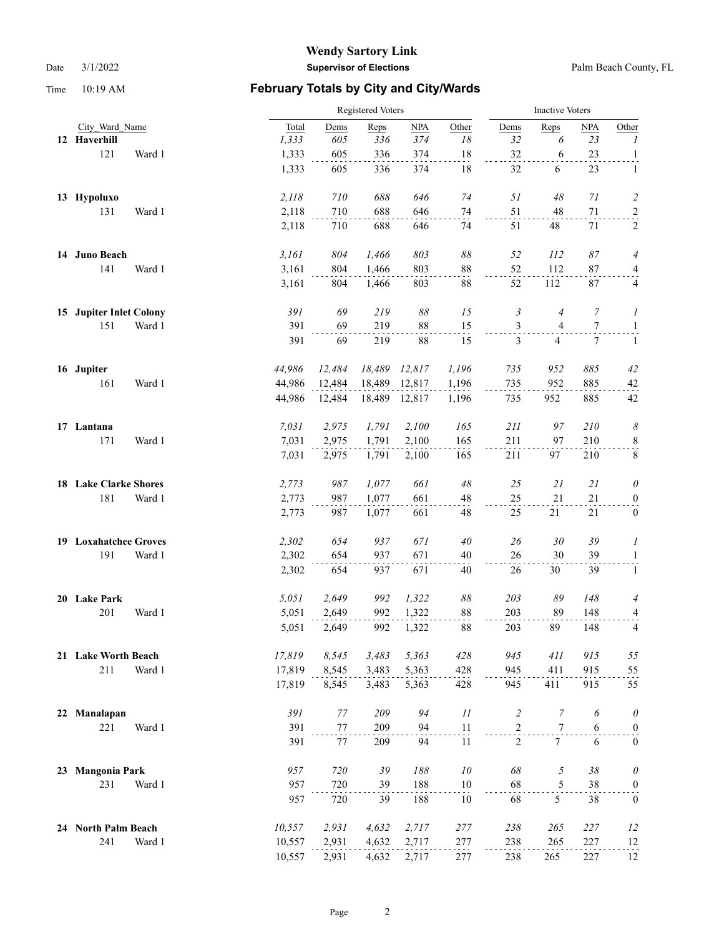|    |                         |        |        | Registered Voters |        |               |                |                |                  | <b>Inactive Voters</b> |                  |  |  |
|----|-------------------------|--------|--------|-------------------|--------|---------------|----------------|----------------|------------------|------------------------|------------------|--|--|
|    | City Ward Name          |        | Total  | Dems              | Reps   | NPA           | Other          | Dems           | Reps             | NPA                    | Other            |  |  |
|    | 12 Haverhill            |        | 1,333  | 605               | 336    | 374           | 18             | 32             | 6                | 23                     | $\boldsymbol{l}$ |  |  |
|    | 121                     | Ward 1 | 1,333  | 605               | 336    | 374           | 18             | 32             | 6                | 23                     | $\mathbf{1}$     |  |  |
|    |                         |        | 1,333  | 605               | 336    | 374           | 18             | 32             | 6                | 23                     | 1                |  |  |
|    | 13 Hypoluxo             |        | 2,118  | 710               | 688    | 646           | 74             | 51             | 48               | 71                     | $\overline{c}$   |  |  |
|    | 131                     | Ward 1 | 2,118  | 710               | 688    | 646           | 74             | 51             | 48               | $71\,$                 | $\overline{a}$   |  |  |
|    |                         |        | 2,118  | 710               | 688    | 646           | 74             | 51             | 48               | 71                     | 2                |  |  |
|    | 14 Juno Beach           |        | 3,161  | 804               | 1,466  | 803           | $\delta\delta$ | 52             | 112              | 87                     | $\overline{4}$   |  |  |
|    | 141                     | Ward 1 | 3,161  | 804               | 1,466  | 803           | $88\,$         | 52             | 112              | 87                     | $\frac{4}{1}$    |  |  |
|    |                         |        | 3,161  | 804               | 1,466  | 803           | 88             | 52             | 112              | 87                     | 4                |  |  |
|    | 15 Jupiter Inlet Colony |        | 391    | 69                | 219    | 88            | 15             | 3              | $\overline{4}$   | 7                      | 1                |  |  |
|    | 151                     | Ward 1 | 391    | 69                | 219    | 88            | 15             | $\mathfrak{Z}$ | $\overline{4}$   | $\tau$                 | $\overline{a}$   |  |  |
|    |                         |        | 391    | 69                | 219    | 88            | 15             | 3              | 4                | 7                      | $\mathbf{1}$     |  |  |
|    | 16 Jupiter              |        | 44,986 | 12,484            | 18,489 | 12,817        | 1,196          | 735            | 952              | 885                    | 42               |  |  |
|    | 161                     | Ward 1 | 44,986 | 12,484            | 18,489 | 12,817        | 1,196          | 735            | 952              | 885                    | 42               |  |  |
|    |                         |        | 44,986 | 12,484            |        | 18,489 12,817 | 1,196          | 735            | 952              | 885                    | 42               |  |  |
|    | 17 Lantana              |        | 7,031  | 2,975             | 1,791  | 2,100         | 165            | 211            | 97               | 210                    | 8                |  |  |
|    | 171                     | Ward 1 | 7,031  | 2,975             | 1,791  | 2,100         | 165            | 211            | 97               | 210                    | $\frac{8}{1}$    |  |  |
|    |                         |        | 7,031  | 2,975             | 1,791  | 2,100         | 165            | 211            | 97               | 210                    | $\,8\,$          |  |  |
|    | 18 Lake Clarke Shores   |        | 2,773  | 987               | 1,077  | 661           | 48             | 25             | 21               | 21                     | 0                |  |  |
|    | 181                     | Ward 1 | 2,773  | 987               | 1,077  | 661           | 48             | 25             | 21               | 21                     | $\boldsymbol{0}$ |  |  |
|    |                         |        | 2,773  | 987               | 1,077  | 661           | 48             | 25             | 21               | 21                     | $\boldsymbol{0}$ |  |  |
|    | 19 Loxahatchee Groves   |        | 2,302  | 654               | 937    | 671           | 40             | 26             | 30               | 39                     | 1                |  |  |
|    | 191                     | Ward 1 | 2,302  | 654               | 937    | 671           | 40             | 26             | 30               | 39                     | $\mathbf{1}$     |  |  |
|    |                         |        | 2,302  | 654               | 937    | 671           | 40             | 26             | 30               | 39                     | $\mathbf{1}$     |  |  |
|    | 20 Lake Park            |        | 5,051  | 2,649             | 992    | 1,322         | $\delta\delta$ | 203            | 89               | 148                    | 4                |  |  |
|    | 201                     | Ward 1 | 5,051  | 2,649             | 992    | 1,322         | 88             | 203            | 89               | 148                    | 4                |  |  |
|    |                         |        | 5,051  | 2,649             | 992    | 1,322         | 88             | 203            | 89               | 148                    | 4                |  |  |
|    | 21 Lake Worth Beach     |        | 17,819 | 8,545             | 3,483  | 5,363         | 428            | 945            | 411              | 915                    | 55               |  |  |
|    | 211                     | Ward 1 | 17,819 | 8,545             | 3,483  | 5,363         | 428            | 945            | 411              | 915                    | 55               |  |  |
|    |                         |        | 17,819 | 8,545             | 3,483  | 5,363         | 428            | 945            | 411              | 915                    | 55               |  |  |
| 22 | Manalapan               |        | 391    | $77\,$            | 209    | 94            | 11             | $\sqrt{2}$     | $\boldsymbol{7}$ | 6                      | $\theta$         |  |  |
|    | 221                     | Ward 1 | 391    | 77                | 209    | 94            | 11             | $\overline{c}$ | 7                | 6                      | $\boldsymbol{0}$ |  |  |
|    |                         |        | 391    | 77                | 209    | 94            | 11             | $\mathfrak{2}$ | $7\phantom{.0}$  | 6                      | $\boldsymbol{0}$ |  |  |
| 23 | <b>Mangonia Park</b>    |        | 957    | 720               | 39     | 188           | $10\,$         | 68             | $\sqrt{2}$       | $38\,$                 | $\theta$         |  |  |
|    | 231                     | Ward 1 | 957    | 720               | 39     | 188           | 10             | 68             | $\mathfrak s$    | 38                     | $\overline{0}$   |  |  |
|    |                         |        | 957    | 720               | 39     | 188           | 10             | 68             | 5                | 38                     | $\boldsymbol{0}$ |  |  |
|    | 24 North Palm Beach     |        | 10,557 | 2,931             | 4,632  | 2,717         | 277            | 238            | 265              | 227                    | 12               |  |  |
|    | 241                     | Ward 1 | 10,557 | 2,931             | 4,632  | 2,717         | 277            | 238            | 265              | 227                    | 12               |  |  |
|    |                         |        | 10,557 | 2,931             | 4,632  | 2,717         | 277            | 238            | 265              | 227                    | 12               |  |  |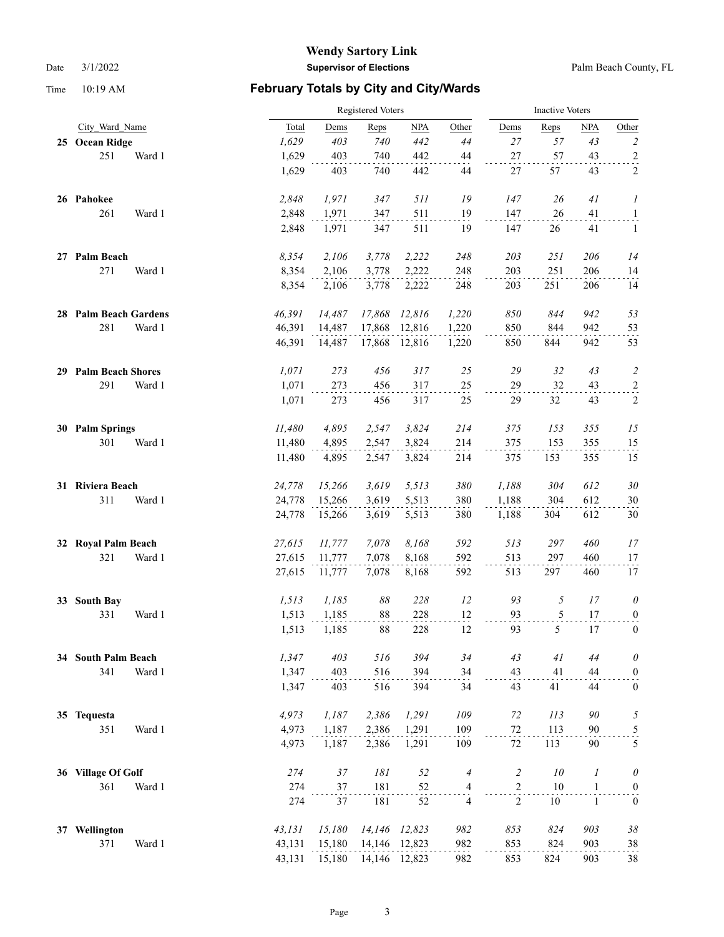|    |                          | Registered Voters |        |                |               |                          |                | <b>Inactive Voters</b> |                  |                  |  |
|----|--------------------------|-------------------|--------|----------------|---------------|--------------------------|----------------|------------------------|------------------|------------------|--|
|    | City Ward Name           | Total             | Dems   | Reps           | <b>NPA</b>    | Other                    | Dems           | Reps                   | <b>NPA</b>       | Other            |  |
|    | 25 Ocean Ridge           | 1,629             | 403    | 740            | 442           | $44$                     | 27             | 57                     | 43               | $\sqrt{2}$       |  |
|    | 251<br>Ward 1            | 1,629             | 403    | 740            | 442           | $44\,$                   | 27             | 57                     | 43               | $\overline{a}$   |  |
|    |                          | 1,629             | 403    | 740            | 442           | 44                       | 27             | 57                     | 43               | $\overline{c}$   |  |
|    | 26 Pahokee               | 2,848             | 1,971  | 347            | 511           | 19                       | 147            | 26                     | 41               | 1                |  |
|    | 261<br>Ward 1            | 2,848             | 1,971  | 347            | 511           | 19                       | 147            | $26\,$                 | 41               | $\overline{1}$   |  |
|    |                          | 2,848             | 1,971  | 347            | 511           | 19                       | 147            | 26                     | 41               | 1                |  |
|    | 27 Palm Beach            | 8,354             | 2,106  | 3,778          | 2,222         | 248                      | 203            | 251                    | 206              | 14               |  |
|    | 271<br>Ward 1            | 8,354             | 2,106  | 3,778          | 2,222         | 248                      | 203            | 251                    | 206              | 14               |  |
|    |                          | 8,354             | 2,106  | 3,778          | 2,222         | 248                      | 203            | 251                    | 206              | 14               |  |
|    | 28 Palm Beach Gardens    | 46,391            | 14,487 | 17,868         | 12,816        | 1,220                    | 850            | 844                    | 942              | 53               |  |
|    | 281<br>Ward 1            | 46,391            | 14,487 | 17,868         | 12,816        | 1,220                    | 850            | 844                    | 942              | 53               |  |
|    |                          | 46,391            | 14,487 | 17,868         | 12,816        | 1,220                    | 850            | 844                    | 942              | 53               |  |
| 29 | <b>Palm Beach Shores</b> | 1,071             | 273    | 456            | 317           | 25                       | 29             | 32                     | 43               | $\overline{c}$   |  |
|    | 291<br>Ward 1            | 1,071             | 273    | 456            | 317           | 25                       | 29             | 32                     | 43               | $\overline{c}$   |  |
|    |                          | 1,071             | 273    | 456            | 317           | 25                       | 29             | 32                     | 43               | $\sqrt{2}$       |  |
|    | 30 Palm Springs          | 11,480            | 4,895  | 2,547          | 3,824         | 214                      | 375            | 153                    | 355              | 15               |  |
|    | 301<br>Ward 1            | 11,480            | 4,895  | 2,547          | 3,824         | 214                      | 375            | 153                    | 355              | 15               |  |
|    |                          | 11,480            | 4,895  | 2,547          | 3,824         | 214                      | 375            | 153                    | 355              | 15               |  |
|    | 31 Riviera Beach         | 24,778            | 15,266 | 3,619          | 5,513         | 380                      | 1,188          | 304                    | 612              | $30\,$           |  |
|    | 311<br>Ward 1            | 24,778            | 15,266 | 3,619          | 5,513         | 380                      | 1,188          | 304                    | 612              | 30               |  |
|    |                          | 24,778            | 15,266 | 3,619          | 5,513         | 380                      | 1,188          | 304                    | 612              | $30\,$           |  |
| 32 | <b>Royal Palm Beach</b>  | 27,615            | 11,777 | 7,078          | 8,168         | 592                      | 513            | 297                    | 460              | 17               |  |
|    | 321<br>Ward 1            | 27,615            | 11,777 | 7,078          | 8,168         | 592                      | 513            | 297                    | 460              | 17               |  |
|    |                          | 27,615            | 11,777 | 7,078          | 8,168         | 592                      | 513            | 297                    | 460              | 17               |  |
| 33 | <b>South Bay</b>         | 1,513             | 1,185  | $\delta\delta$ | 228           | 12                       | 93             | 5                      | 17               | $\theta$         |  |
|    | 331<br>Ward 1            | 1,513             | 1,185  | 88             | 228           | 12                       | 93             | 5                      | 17               | $\overline{0}$   |  |
|    |                          | 1,513             | 1,185  | 88             | 228           | 12                       | 93             | 5                      | 17               | $\boldsymbol{0}$ |  |
|    | 34 South Palm Beach      | 1,347             | 403    | 516            | 394           | 34                       | 43             | 41                     | 44               | $\theta$         |  |
|    | 341<br>Ward 1            | 1,347             | 403    | 516            | 394           | 34                       | 43             | 41                     | 44               | $\boldsymbol{0}$ |  |
|    |                          | 1,347             | 403    | 516            | 394           | 34                       | 43             | 41                     | 44               | $\boldsymbol{0}$ |  |
|    | 35 Tequesta              | 4,973             | 1,187  | 2,386          | 1,291         | 109                      | 72             | 113                    | 90               | 5                |  |
|    | 351<br>Ward 1            | 4,973             | 1,187  | 2,386          | 1,291         | 109                      | $72\,$         | 113                    | 90               | $\frac{5}{1}$    |  |
|    |                          | 4,973             | 1,187  | 2,386          | 1,291         | 109                      | 72             | 113                    | 90               | 5                |  |
| 36 | <b>Village Of Golf</b>   | 274               | $37\,$ | 181            | 52            | $\overline{4}$           | $\overline{c}$ | $10\,$                 | $\boldsymbol{l}$ | $\theta$         |  |
|    | 361<br>Ward 1            | 274               | 37     | 181            | 52            | $\overline{\mathcal{A}}$ | $\overline{c}$ | $10\,$                 | $\mathbf{1}$     | $\boldsymbol{0}$ |  |
|    |                          | 274               | 37     | 181            | 52            | $\overline{4}$           | $\overline{2}$ | 10                     | $\mathbf{1}$     | $\mathbf{0}$     |  |
| 37 | Wellington               | 43,131            | 15,180 |                | 14,146 12,823 | 982                      | 853            | 824                    | 903              | $38\,$           |  |
|    | 371<br>Ward 1            | 43,131            | 15,180 |                | 14,146 12,823 | 982                      | 853            | 824                    | 903              | 38               |  |
|    |                          | 43,131            | 15,180 |                | 14,146 12,823 | 982                      | 853            | 824                    | 903              | $38\,$           |  |